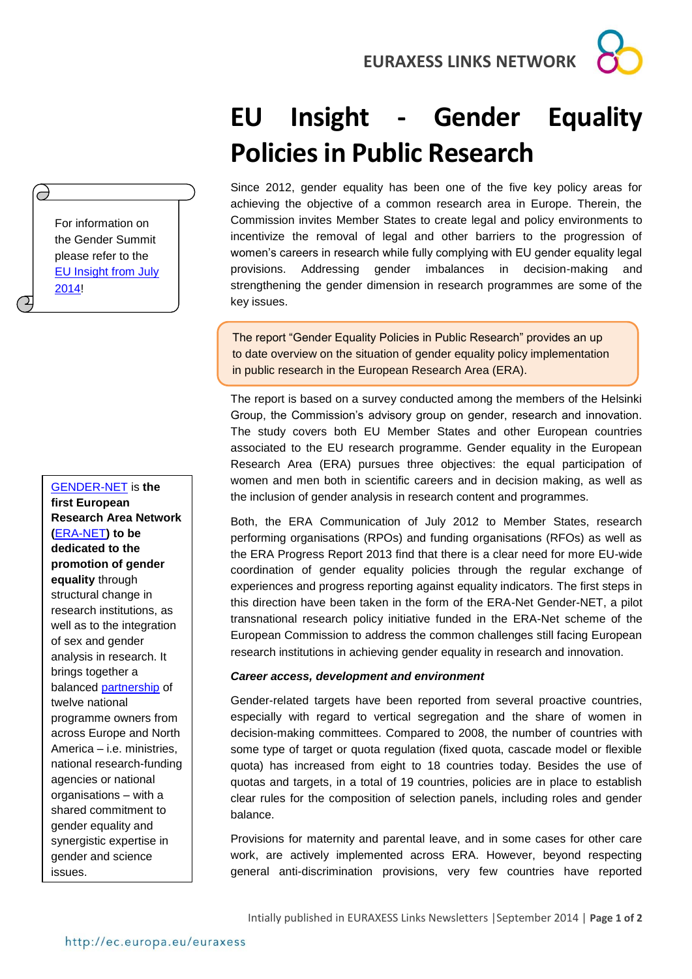**EURAXESS LINKS NETWORK**

# **EU Insight - Gender Equality Policies in Public Research**

Since 2012, gender equality has been one of the five key policy areas for achieving the objective of a common research area in Europe. Therein, the Commission invites Member States to create legal and policy environments to incentivize the removal of legal and other barriers to the progression of women's careers in research while fully complying with EU gender equality legal provisions. Addressing gender imbalances in decision-making and strengthening the gender dimension in research programmes are some of the key issues.

The report "Gender Equality Policies in Public Research" provides an up to date overview on the situation of gender equality policy implementation in public research in the European Research Area (ERA).

The report is based on a survey conducted among the members of the Helsinki Group, the Commission's advisory group on gender, research and innovation. The study covers both EU Member States and other European countries associated to the EU research programme. Gender equality in the European Research Area (ERA) pursues three objectives: the equal participation of women and men both in scientific careers and in decision making, as well as the inclusion of gender analysis in research content and programmes.

Both, the ERA Communication of July 2012 to Member States, research performing organisations (RPOs) and funding organisations (RFOs) as well as the ERA Progress Report 2013 find that there is a clear need for more EU-wide coordination of gender equality policies through the regular exchange of experiences and progress reporting against equality indicators. The first steps in this direction have been taken in the form of the ERA-Net Gender-NET, a pilot transnational research policy initiative funded in the ERA-Net scheme of the European Commission to address the common challenges still facing European research institutions in achieving gender equality in research and innovation.

## *Career access, development and environment*

Gender-related targets have been reported from several proactive countries, especially with regard to vertical segregation and the share of women in decision-making committees. Compared to 2008, the number of countries with some type of target or quota regulation (fixed quota, cascade model or flexible quota) has increased from eight to 18 countries today. Besides the use of quotas and targets, in a total of 19 countries, policies are in place to establish clear rules for the composition of selection panels, including roles and gender balance.

Provisions for maternity and parental leave, and in some cases for other care work, are actively implemented across ERA. However, beyond respecting general anti-discrimination provisions, very few countries have reported

[GENDER-NET](http://www.gender-net.eu/?lang=en) is **the first European Research Area Network (**[ERA-NET](http://cordis.europa.eu/fp7/coordination/about-era_en.html)**) to be dedicated to the promotion of gender equality** through structural change in research institutions, as well as to the integration of sex and gender analysis in research. It brings together a balanced [partnership](http://www.gender-net.eu/spip.php?rubrique27) of twelve national programme owners from across Europe and North America – i.e. ministries, national research-funding agencies or national organisations – with a shared commitment to gender equality and synergistic expertise in gender and science issues.

the Gender Summit please refer to the [EU Insight from July](http://www.google.de/url?sa=t&rct=j&q=&esrc=s&source=web&cd=1&ved=0CCMQFjAA&url=http%3A%2F%2Fec.europa.eu%2Feuraxess%2Fdata%2Flinks%2Fbrazil%2Fdocs%2FEUInsightJuly2014GenderSummit.pdf&ei=y0IqVPbcEZPTaJu_gcgF&usg=AFQjCNHRim-3FqM0eToATwznIBbTWDrFKA&bvm=bv.76477589,d.d2s)  [2014!](http://www.google.de/url?sa=t&rct=j&q=&esrc=s&source=web&cd=1&ved=0CCMQFjAA&url=http%3A%2F%2Fec.europa.eu%2Feuraxess%2Fdata%2Flinks%2Fbrazil%2Fdocs%2FEUInsightJuly2014GenderSummit.pdf&ei=y0IqVPbcEZPTaJu_gcgF&usg=AFQjCNHRim-3FqM0eToATwznIBbTWDrFKA&bvm=bv.76477589,d.d2s)

For information on

T